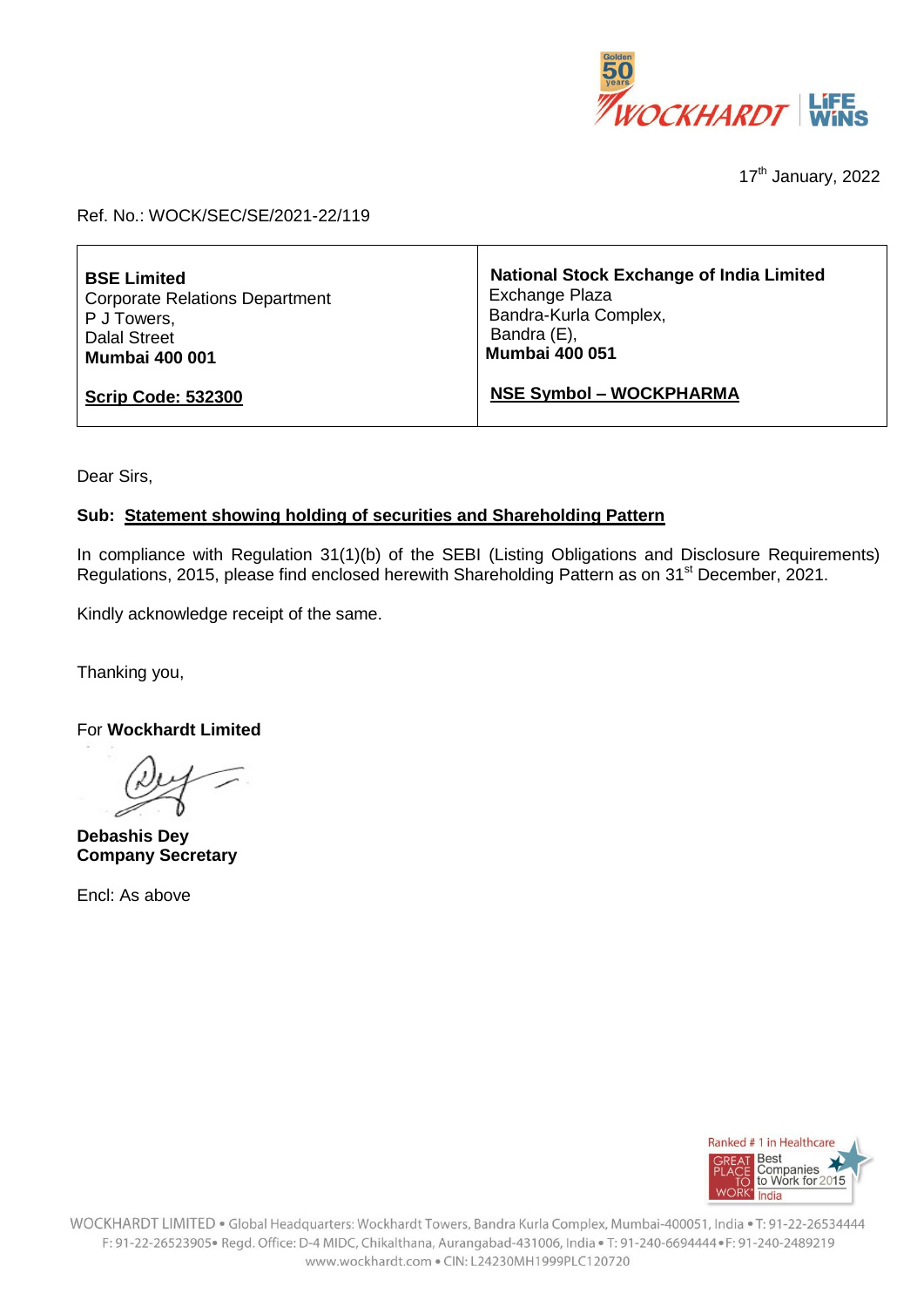

17<sup>th</sup> January, 2022

## Ref. No.: WOCK/SEC/SE/2021-22/119

| <b>BSE Limited</b>                    | <b>National Stock Exchange of India Limited</b> |
|---------------------------------------|-------------------------------------------------|
| <b>Corporate Relations Department</b> | Exchange Plaza                                  |
| P J Towers,                           | Bandra-Kurla Complex,                           |
| <b>Dalal Street</b>                   | Bandra (E),                                     |
| <b>Mumbai 400 001</b>                 | <b>Mumbai 400 051</b>                           |
| <b>Scrip Code: 532300</b>             | <b>NSE Symbol - WOCKPHARMA</b>                  |

Dear Sirs,

## **Sub: Statement showing holding of securities and Shareholding Pattern**

In compliance with Regulation 31(1)(b) of the SEBI (Listing Obligations and Disclosure Requirements) Regulations, 2015, please find enclosed herewith Shareholding Pattern as on 31<sup>st</sup> December, 2021.

Kindly acknowledge receipt of the same.

Thanking you,

For **Wockhardt Limited**

**Debashis Dey Company Secretary**

Encl: As above

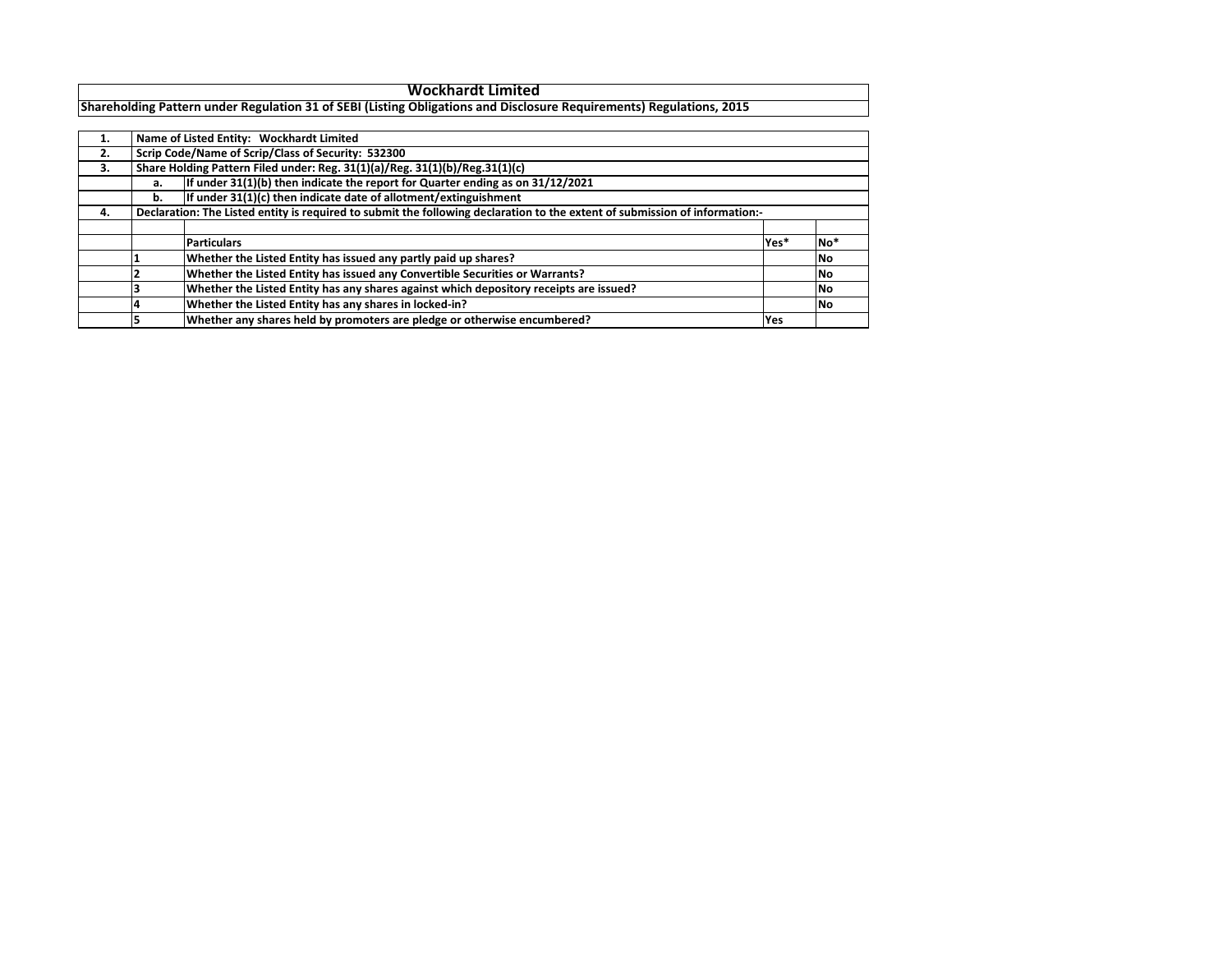| 1. |    | Name of Listed Entity: Wockhardt Limited                                                                                    |            |           |  |  |  |  |  |  |  |  |  |
|----|----|-----------------------------------------------------------------------------------------------------------------------------|------------|-----------|--|--|--|--|--|--|--|--|--|
| 2. |    | Scrip Code/Name of Scrip/Class of Security: 532300                                                                          |            |           |  |  |  |  |  |  |  |  |  |
| 3. |    | Share Holding Pattern Filed under: Reg. 31(1)(a)/Reg. 31(1)(b)/Reg.31(1)(c)                                                 |            |           |  |  |  |  |  |  |  |  |  |
|    | а. | If under $31(1)(b)$ then indicate the report for Quarter ending as on $31/12/2021$                                          |            |           |  |  |  |  |  |  |  |  |  |
|    | b. | If under $31(1)(c)$ then indicate date of allotment/extinguishment                                                          |            |           |  |  |  |  |  |  |  |  |  |
| 4. |    | Declaration: The Listed entity is required to submit the following declaration to the extent of submission of information:- |            |           |  |  |  |  |  |  |  |  |  |
|    |    |                                                                                                                             |            |           |  |  |  |  |  |  |  |  |  |
|    |    | <b>Particulars</b>                                                                                                          | Yes*       | $No*$     |  |  |  |  |  |  |  |  |  |
|    |    | Whether the Listed Entity has issued any partly paid up shares?                                                             |            | <b>No</b> |  |  |  |  |  |  |  |  |  |
|    |    | Whether the Listed Entity has issued any Convertible Securities or Warrants?                                                |            | No        |  |  |  |  |  |  |  |  |  |
|    |    | Whether the Listed Entity has any shares against which depository receipts are issued?                                      |            | No        |  |  |  |  |  |  |  |  |  |
|    |    | Whether the Listed Entity has any shares in locked-in?                                                                      |            | <b>No</b> |  |  |  |  |  |  |  |  |  |
|    |    | Whether any shares held by promoters are pledge or otherwise encumbered?                                                    | <b>Yes</b> |           |  |  |  |  |  |  |  |  |  |

**Wockhardt Limited**

## **Shareholding Pattern under Regulation 31 of SEBI (Listing Obligations and Disclosure Requirements) Regulations, 2015**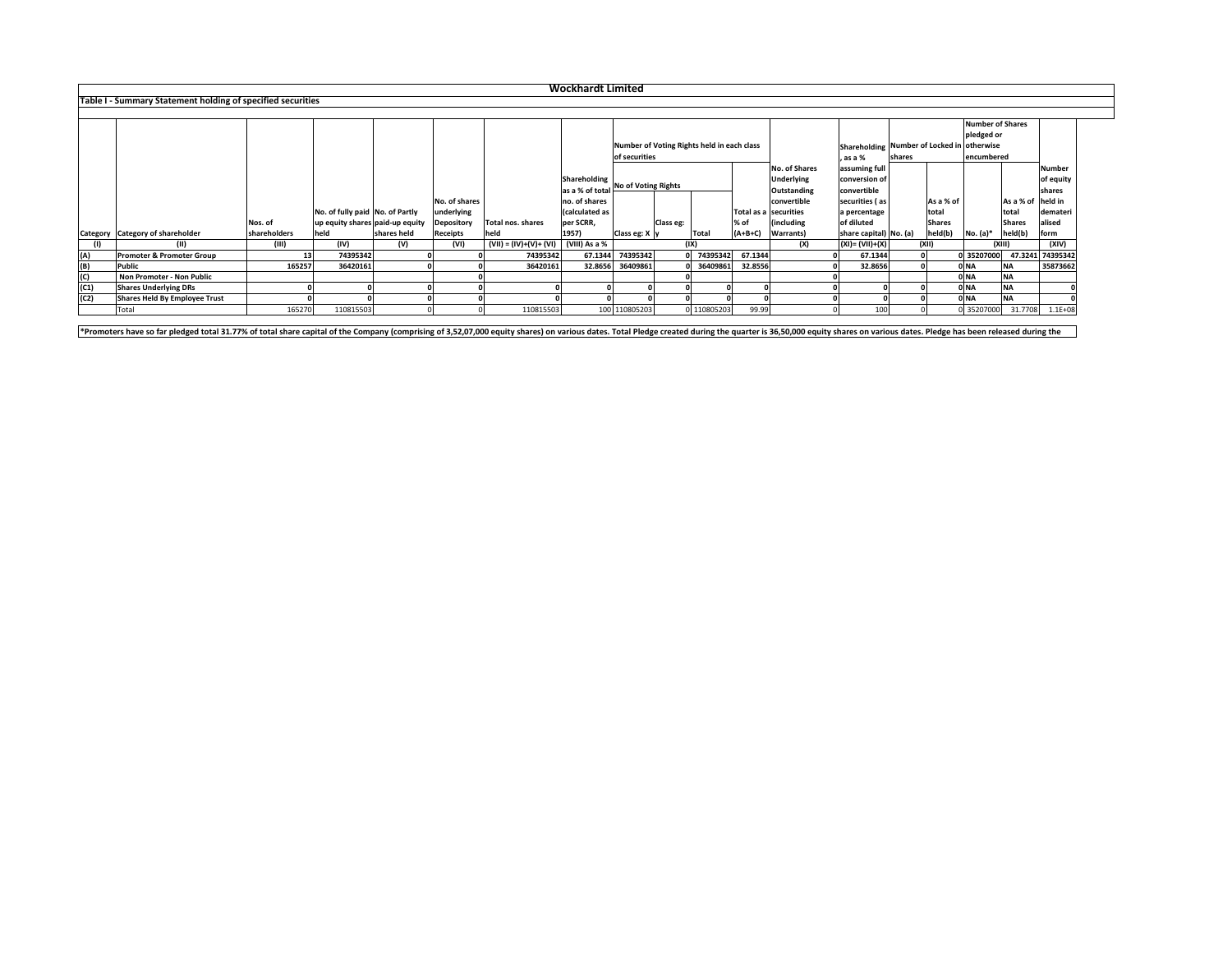|      | <b>Wockhardt Limited</b>                                    |              |                                 |             |                   |                          |                 |                      |                                            |              |           |                       |                          |                                              |               |                  |                    |                  |  |
|------|-------------------------------------------------------------|--------------|---------------------------------|-------------|-------------------|--------------------------|-----------------|----------------------|--------------------------------------------|--------------|-----------|-----------------------|--------------------------|----------------------------------------------|---------------|------------------|--------------------|------------------|--|
|      | Table I - Summary Statement holding of specified securities |              |                                 |             |                   |                          |                 |                      |                                            |              |           |                       |                          |                                              |               |                  |                    |                  |  |
|      |                                                             |              |                                 |             |                   |                          |                 |                      |                                            |              |           |                       |                          |                                              |               |                  |                    |                  |  |
|      |                                                             |              |                                 |             |                   |                          |                 |                      |                                            |              |           |                       |                          |                                              |               | Number of Shares |                    |                  |  |
|      |                                                             |              |                                 |             |                   |                          |                 |                      |                                            |              |           |                       |                          |                                              |               | pledged or       |                    |                  |  |
|      |                                                             |              |                                 |             |                   |                          |                 |                      | Number of Voting Rights held in each class |              |           |                       |                          | Shareholding   Number of Locked in otherwise |               |                  |                    |                  |  |
|      |                                                             |              |                                 |             |                   |                          |                 |                      | of securities                              |              |           |                       | , as a %                 | shares                                       |               | encumbered       |                    |                  |  |
|      |                                                             |              |                                 |             |                   |                          |                 |                      |                                            |              |           | <b>No. of Shares</b>  | assuming full            |                                              |               |                  |                    | Number           |  |
|      |                                                             |              |                                 |             |                   |                          | Shareholding    |                      |                                            |              |           | <b>Underlying</b>     | conversion of            |                                              |               |                  |                    | of equity        |  |
|      |                                                             |              |                                 |             |                   |                          | as a % of total | No of Voting Rights  |                                            |              |           | <b>Outstanding</b>    | convertible              |                                              |               |                  |                    | shares           |  |
|      |                                                             |              |                                 |             | No. of shares     |                          | no. of shares   |                      |                                            |              |           | convertible           | securities (as           |                                              | As a % of     |                  | As a % of  held in |                  |  |
|      |                                                             |              | No. of fully paid No. of Partly |             | underlying        |                          | Calculated as   |                      |                                            |              |           | Total as a securities | a percentage             |                                              | total         |                  | <b>Itotal</b>      | demateri         |  |
|      |                                                             | Nos. of      | up equity shares paid-up equity |             | <b>Depository</b> | Total nos. shares        | per SCRR,       |                      | Class eg:                                  |              | % of      | (including            | of diluted               |                                              | <b>Shares</b> |                  | <b>Shares</b>      | alised           |  |
|      | Category   Category of shareholder                          | shareholders | held                            | shares held | <b>Receipts</b>   | held                     | 1957)           | Class eg: $X \mid y$ |                                            | <b>Total</b> | $(A+B+C)$ | Warrants)             | share capital)   No. (a) |                                              | held(b)       | $No. (a)*$       | held(b)            | form             |  |
|      | (II)                                                        | (III)        | (IV)                            | (V)         | (VI)              | $(VII) = (IV)+(V)+(VII)$ | (VIII) As a %   |                      |                                            | (IX)         |           | (X)                   | $ (XI) = (VII)+(X)$      |                                              | (XII)         | (XIII)           |                    | (XIV)            |  |
| (A)  | <b>Promoter &amp; Promoter Group</b>                        |              | 74395342                        |             |                   | 74395342                 | 67.1344         | 74395342             |                                            | 74395342     | 67.1344   |                       | 67.1344                  |                                              |               | 0 35207000       |                    | 47.3241 74395342 |  |
| (B)  | <b>Public</b>                                               | 165257       | 36420161                        |             |                   | 36420161                 | 32.8656         | 36409861             |                                            | 36409861     | 32.8556   |                       | 32.8656                  |                                              |               | $0$ NA           | <b>NA</b>          | 35873662         |  |
| (C)  | <b>Non Promoter - Non Public</b>                            |              |                                 |             |                   |                          |                 |                      |                                            |              |           |                       |                          |                                              |               | $0$ NA           | <b>NA</b>          |                  |  |
| (C1) | <b>Shares Underlying DRs</b>                                |              |                                 |             |                   |                          |                 |                      |                                            |              |           |                       |                          |                                              |               | $0$ NA           | <b>NA</b>          |                  |  |
| (C2) | Shares Held By Employee Trust                               |              |                                 |             |                   |                          |                 |                      |                                            |              |           |                       |                          |                                              |               | $0$ NA           | <b>NA</b>          |                  |  |
|      | Total                                                       | 165270       | 110815503                       |             |                   | 110815503                |                 | 100 110805203        |                                            | 0110805203   | 99.99     |                       | 100                      |                                              |               | 0 35207000       | 31.7708            | $1.1E + 08$      |  |

\*Promoters have so far pledged total 31.77% of total share capital of the Company (comprising of 3,52,07,000 equity shares) on various dates. Total Pledge created during the quarter is 36,50,000 equity shares on various da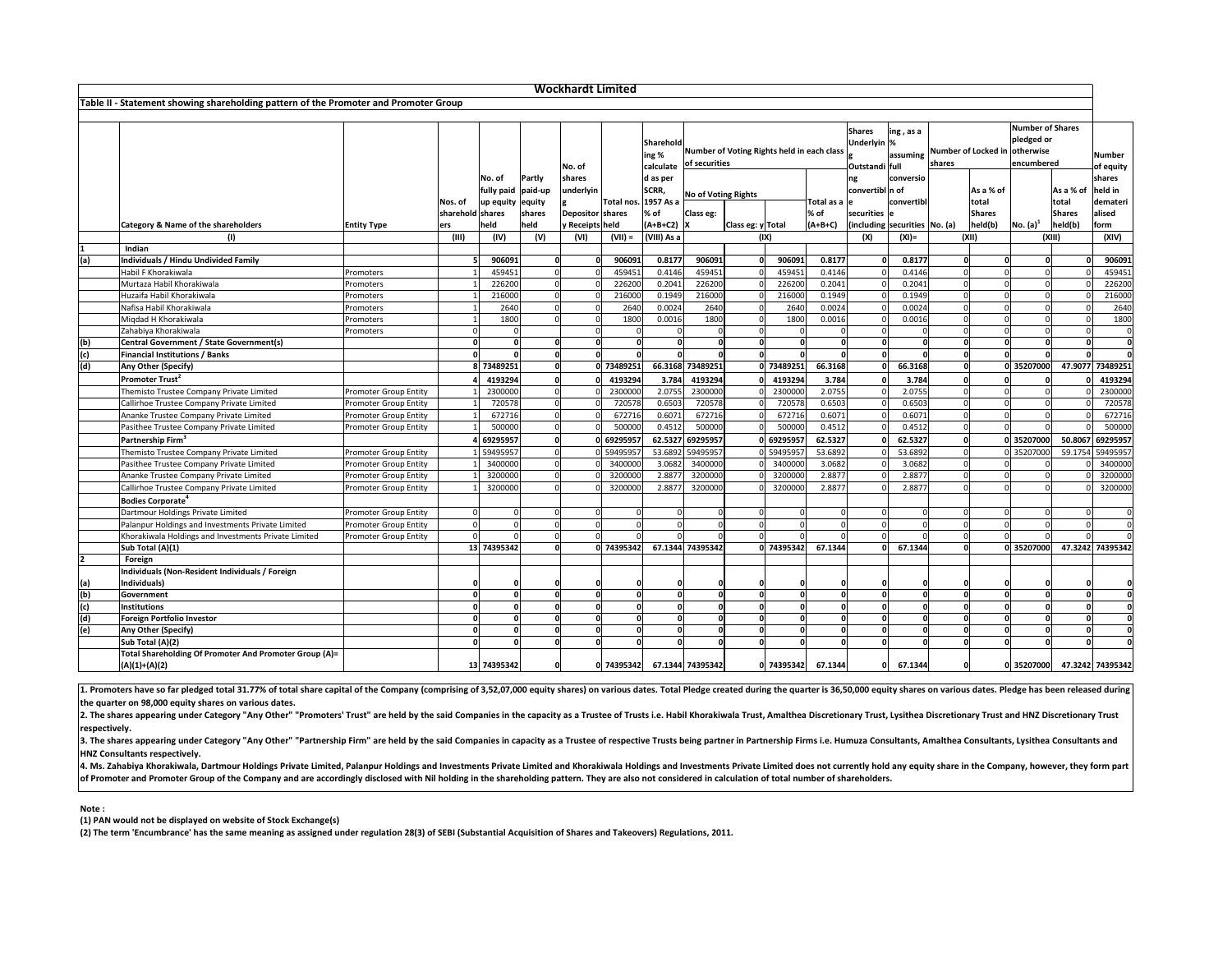1. Promoters have so far pledged total 31.77% of total share capital of the Company (comprising of 3,52,07,000 equity shares) on various dates. Total Pledge created during the quarter is 36,50,000 equity shares on various **the quarter on 98,000 equity shares on various dates.**

2. The shares appearing under Category "Any Other" "Promoters' Trust" are held by the said Companies in the capacity as a Trustee of Trusts i.e. Habil Khorakiwala Trust, Amalthea Discretionary Trust, Lysithea Discretionary **respectively.**

3. The shares appearing under Category "Any Other" "Partnership Firm" are held by the said Companies in capacity as a Trustee of respective Trusts being partner in Partnership Firms i.e. Humuza Consultants, Amalthea Consul **HNZ Consultants respectively.**

4. Ms. Zahabiya Khorakiwala, Dartmour Holdings Private Limited, Palanpur Holdings and Investments Private Limited and Khorakiwala Holdings and Investments Private Limited does not currently hold any equity share in the Com **of Promoter and Promoter Group of the Company and are accordingly disclosed with Nil holding in the shareholding pattern. They are also not considered in calculation of total number of shareholders.**

|                | <b>Wockhardt Limited</b>                                                             |                                                       |                  |                      |        |                    |            |                      |                                            |                   |                    |                |                 |                                 |                |                               |                         |               |                  |
|----------------|--------------------------------------------------------------------------------------|-------------------------------------------------------|------------------|----------------------|--------|--------------------|------------|----------------------|--------------------------------------------|-------------------|--------------------|----------------|-----------------|---------------------------------|----------------|-------------------------------|-------------------------|---------------|------------------|
|                | Table II - Statement showing shareholding pattern of the Promoter and Promoter Group |                                                       |                  |                      |        |                    |            |                      |                                            |                   |                    |                |                 |                                 |                |                               |                         |               |                  |
|                |                                                                                      |                                                       |                  |                      |        |                    |            |                      |                                            |                   |                    |                |                 |                                 |                |                               |                         |               |                  |
|                |                                                                                      |                                                       |                  |                      |        |                    |            |                      |                                            |                   |                    |                | <b>Shares</b>   |                                 |                |                               | Number of Shares        |               |                  |
|                |                                                                                      |                                                       |                  |                      |        |                    |            | Sharehold            |                                            |                   |                    |                | Underlyin %     | $\ln g$ , as a                  |                |                               | pledged or              |               |                  |
|                |                                                                                      |                                                       |                  |                      |        |                    |            | ing %                | Number of Voting Rights held in each class |                   |                    |                |                 | lassuming                       |                | Number of Locked in otherwise |                         |               | <b>Number</b>    |
|                |                                                                                      |                                                       |                  |                      |        | No. of             |            | calculate            | of securities                              |                   |                    |                | Outstandi full  |                                 | <b>Ishares</b> |                               | encumbered              |               | of equity        |
|                |                                                                                      |                                                       |                  | No. of               | Partly | <b>shares</b>      |            | d as per             |                                            |                   |                    |                | ng              | conversio                       |                |                               |                         |               | shares           |
|                |                                                                                      |                                                       |                  | fully paid   paid-up |        | underlyin          |            | SCRR,                |                                            |                   |                    |                | convertibl n of |                                 |                | As a % of                     |                         | As a % of     | held in          |
|                |                                                                                      |                                                       | Nos. of          | up equity equity     |        |                    |            | Total nos. 1957 As a | <b>No of Voting Rights</b>                 |                   |                    | Total as a  e∣ |                 | convertib                       |                | total                         |                         | total         | demateri         |
|                |                                                                                      |                                                       | sharehold shares |                      | shares | Depositor   shares |            | % of                 | Class eg:                                  |                   |                    | % of           | securities e    |                                 |                | <b>Shares</b>                 |                         | <b>Shares</b> | alised           |
|                | <b>Category &amp; Name of the shareholders</b>                                       | <b>Entity Type</b>                                    | ers              | held                 | held   | y Receipts held    |            | $(A+B+C2)$  X        |                                            | Class eg: y Total |                    | $(A+B+C)$      |                 | (including securities   No. (a) |                | held(b)                       | $\vert$ No. (a) $\vert$ | held(b)       | form             |
|                | (1)                                                                                  |                                                       | (III)            | (IV)                 | (V)    | (VI)               | $(VII) =$  | (VIII) As a          |                                            |                   | (IX)               |                | (X)             | $(XI) =$                        |                | (XII)                         |                         | (XIII)        | (XIV)            |
|                | Indian                                                                               |                                                       |                  |                      |        |                    |            |                      |                                            |                   |                    |                |                 |                                 |                |                               |                         |               |                  |
| (a)            | <b>Individuals / Hindu Undivided Family</b>                                          |                                                       |                  | 906091               |        |                    | 906091     | 0.8177               | 906091                                     |                   | 906091             | 0.8177         |                 | 0.8177                          |                |                               |                         |               | 906091           |
|                | Habil F Khorakiwala                                                                  | Promoters                                             |                  | 459451               |        |                    | 459451     | 0.4146               | 459451                                     |                   | 45945              | 0.4146         |                 | 0.4146                          |                |                               |                         |               | 459451           |
|                | Murtaza Habil Khorakiwala                                                            | Promoters                                             |                  | 226200               |        |                    | 226200     | 0.2041               | 226200                                     |                   | 226200             | 0.2041         |                 | 0.2041                          |                |                               |                         |               | 226200           |
|                | Huzaifa Habil Khorakiwala                                                            | Promoters                                             |                  | 216000               |        |                    | 216000     | 0.1949               | 216000                                     |                   | 216000             | 0.1949         |                 | 0.1949                          |                |                               |                         |               | 216000           |
|                | Nafisa Habil Khorakiwala                                                             | Promoters                                             |                  | 2640                 |        |                    | 2640       | 0.0024               | 2640                                       |                   | 2640               | 0.0024         |                 | 0.0024                          |                |                               |                         |               | 2640             |
|                | Miqdad H Khorakiwala                                                                 | Promoters                                             |                  | 1800                 |        |                    | 1800       | 0.0016               | 1800                                       |                   | 1800               | 0.0016         |                 | 0.0016                          |                |                               |                         |               | 1800             |
|                | Zahabiya Khorakiwala                                                                 | Promoters                                             |                  |                      |        |                    |            |                      |                                            |                   |                    |                |                 |                                 |                |                               |                         |               |                  |
| (b)            | <b>Central Government / State Government(s)</b>                                      |                                                       |                  |                      |        |                    |            |                      |                                            |                   |                    |                |                 |                                 |                |                               |                         |               |                  |
| (c)            | <b>Financial Institutions / Banks</b>                                                |                                                       |                  |                      |        |                    |            |                      |                                            |                   |                    |                |                 |                                 |                |                               |                         |               |                  |
| (d)            | Any Other (Specify)                                                                  |                                                       |                  | 73489251             |        |                    | 73489251   | 66.3168              | 73489251                                   |                   | 0 73489251         | 66.3168        |                 | 66.3168                         |                |                               | 0 35207000              | 47.9077       | 73489251         |
|                | Promoter Trust <sup>2</sup>                                                          |                                                       |                  | 4193294              |        |                    | 4193294    | 3.784                | 4193294                                    |                   | 4193294            | 3.784          |                 | 3.784                           |                |                               |                         |               | 4193294          |
|                | Themisto Trustee Company Private Limited                                             | <b>Promoter Group Entity</b>                          |                  | 2300000              |        |                    | 2300000    | 2.0755               | 2300000                                    |                   | 2300000            | 2.0755         |                 | 2.0755                          |                |                               |                         |               | 2300000          |
|                |                                                                                      |                                                       |                  | 720578               |        |                    | 720578     | 0.6503               | 720578                                     |                   | 720578             | 0.6503         |                 | 0.6503                          |                |                               |                         |               | 720578           |
|                | Callirhoe Trustee Company Private Limited<br>Ananke Trustee Company Private Limited  | Promoter Group Entity<br><b>Promoter Group Entity</b> |                  | 672716               |        |                    | 672716     | 0.6071               | 672716                                     |                   | 672716             | 0.6071         |                 | 0.6071                          |                |                               |                         |               | 672716           |
|                | Pasithee Trustee Company Private Limited                                             | <b>Promoter Group Entity</b>                          |                  | 500000               |        |                    | 500000     | 0.4512               | 500000                                     |                   | 500000             | 0.4512         |                 | 0.4512                          |                |                               |                         |               | 500000           |
|                |                                                                                      |                                                       |                  |                      |        |                    |            |                      |                                            |                   |                    |                |                 |                                 |                |                               |                         |               |                  |
|                | Partnership Firm <sup>3</sup>                                                        |                                                       |                  | 69295957             |        |                    | 0 69295957 |                      | 62.5327 69295957                           |                   | 0 69295957         | 62.5327        |                 | 62.5327                         |                |                               | 0 35207000              |               | 50.8067 69295957 |
|                | Themisto Trustee Company Private Limited                                             | <b>Promoter Group Entity</b>                          |                  | 59495957             |        |                    | 059495957  |                      | 53.6892 59495957                           |                   | 059495957          | 53.6892        |                 | 53.6892                         |                |                               | 0 35207000              |               | 59.1754 59495957 |
|                | Pasithee Trustee Company Private Limited                                             | <b>Promoter Group Entity</b>                          |                  | 3400000              |        |                    | 3400000    | 3.0682               | 3400000                                    |                   | 3400000            | 3.0682         |                 | 3.0682                          |                |                               |                         |               | 3400000          |
|                | Ananke Trustee Company Private Limited                                               | <b>Promoter Group Entity</b>                          |                  | 3200000              |        |                    | 3200000    | 2.8877               | 3200000                                    |                   | 3200000            | 2.8877         |                 | 2.8877                          |                |                               |                         |               | 3200000          |
|                | Callirhoe Trustee Company Private Limited                                            | <b>Promoter Group Entity</b>                          |                  | 3200000              |        |                    | 3200000    | 2.8877               | 3200000                                    |                   | 3200000            | 2.8877         |                 | 2.8877                          |                |                               |                         |               | 3200000          |
|                | Bodies Corporate <sup>4</sup>                                                        |                                                       |                  |                      |        |                    |            |                      |                                            |                   |                    |                |                 |                                 |                |                               |                         |               |                  |
|                | Dartmour Holdings Private Limited                                                    | <b>Promoter Group Entity</b>                          |                  | $\Omega$             |        |                    |            |                      |                                            |                   |                    |                |                 |                                 |                |                               |                         |               |                  |
|                | Palanpur Holdings and Investments Private Limited                                    | <b>Promoter Group Entity</b>                          |                  | $\Omega$             |        |                    |            |                      |                                            |                   |                    |                |                 |                                 |                |                               |                         |               |                  |
|                | Khorakiwala Holdings and Investments Private Limited                                 | <b>Promoter Group Entity</b>                          |                  |                      |        |                    |            |                      |                                            |                   |                    |                |                 |                                 |                |                               |                         |               |                  |
|                | Sub Total (A)(1)                                                                     |                                                       |                  | 13 74395342          |        |                    | 0 74395342 |                      | 67.1344 74395342                           |                   | 0 74395342         | 67.1344        |                 | 67.1344                         |                |                               | 0 35207000              |               | 47.3242 74395342 |
|                | Foreign                                                                              |                                                       |                  |                      |        |                    |            |                      |                                            |                   |                    |                |                 |                                 |                |                               |                         |               |                  |
|                | Individuals (Non-Resident Individuals / Foreign                                      |                                                       |                  |                      |        |                    |            |                      |                                            |                   |                    |                |                 |                                 |                |                               |                         |               |                  |
| (a)            | Individuals)                                                                         |                                                       |                  |                      |        |                    |            |                      |                                            |                   |                    |                |                 |                                 |                |                               |                         |               |                  |
| (b)            | Government                                                                           |                                                       |                  |                      |        |                    |            |                      |                                            |                   |                    |                |                 |                                 |                |                               |                         |               |                  |
| $\overline{c}$ | <b>Institutions</b>                                                                  |                                                       |                  |                      |        |                    |            |                      |                                            |                   |                    |                |                 |                                 |                |                               |                         |               |                  |
| (d)            | <b>Foreign Portfolio Investor</b>                                                    |                                                       |                  |                      |        |                    |            |                      |                                            |                   |                    |                |                 |                                 |                |                               |                         |               |                  |
| (e)            | Any Other (Specify)                                                                  |                                                       |                  |                      |        |                    |            |                      |                                            |                   |                    |                |                 |                                 |                |                               |                         |               |                  |
|                | Sub Total (A)(2)                                                                     |                                                       |                  |                      |        |                    |            |                      |                                            |                   |                    |                |                 |                                 |                |                               |                         |               | $\Omega$         |
|                | Total Shareholding Of Promoter And Promoter Group (A)=                               |                                                       |                  |                      |        |                    |            |                      |                                            |                   |                    |                |                 |                                 |                |                               |                         |               |                  |
|                | $(A)(1)+(A)(2)$                                                                      |                                                       |                  | 13 74395342          |        |                    | 0 74395342 |                      | 67.1344 74395342                           |                   | 0 74395342 67.1344 |                | 0               | 67.1344                         |                |                               | 0 35207000              |               | 47.3242 74395342 |

**Note :**

**(1) PAN would not be displayed on website of Stock Exchange(s)** 

**(2) The term 'Encumbrance' has the same meaning as assigned under regulation 28(3) of SEBI (Substantial Acquisition of Shares and Takeovers) Regulations, 2011.**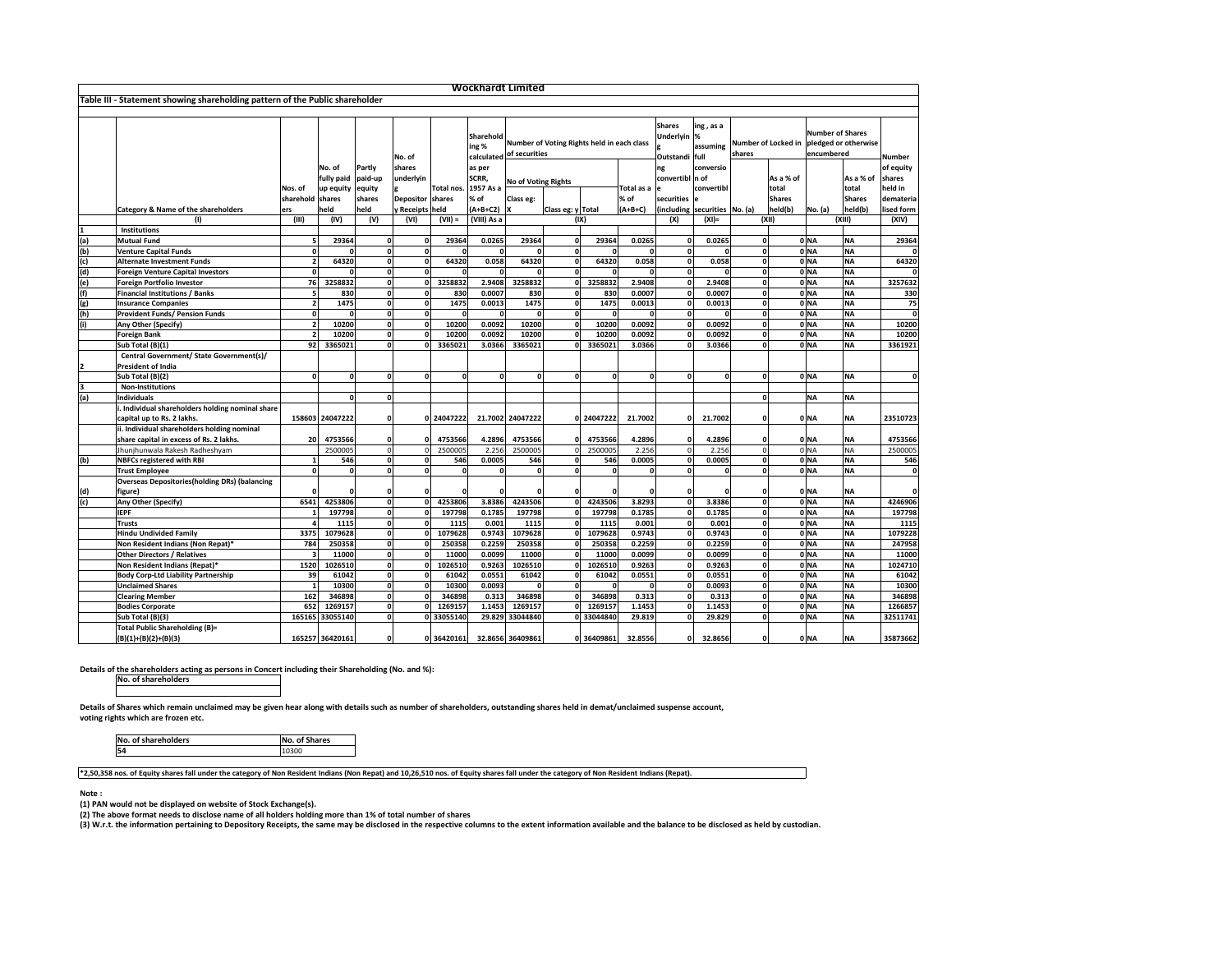|                         |                                                                              |                  | <b>Wockhardt Limited</b> |              |                  |              |                    |                                                                        |                   |            |               |                                       |                                                  |   |                                                                                               |           |               |               |
|-------------------------|------------------------------------------------------------------------------|------------------|--------------------------|--------------|------------------|--------------|--------------------|------------------------------------------------------------------------|-------------------|------------|---------------|---------------------------------------|--------------------------------------------------|---|-----------------------------------------------------------------------------------------------|-----------|---------------|---------------|
|                         | Table III - Statement showing shareholding pattern of the Public shareholder |                  |                          |              |                  |              |                    |                                                                        |                   |            |               |                                       |                                                  |   |                                                                                               |           |               |               |
|                         |                                                                              |                  |                          |              |                  |              |                    |                                                                        |                   |            |               |                                       |                                                  |   |                                                                                               |           |               |               |
|                         |                                                                              |                  |                          |              | No. of           |              | Sharehold<br>ing % | Number of Voting Rights held in each class<br>calculated of securities |                   |            |               | <b>Shares</b>                         | $\ln g$ , as a<br>Underlyin  %<br>Outstandi full |   | <b>Number of Shares</b><br>assuming Number of Locked in<br>pledged or otherwise<br>encumbered |           |               | <b>Number</b> |
|                         |                                                                              |                  | No. of                   | Partly       | shares           |              | as per             |                                                                        |                   |            |               | ng                                    | conversio                                        |   |                                                                                               |           |               | of equity     |
|                         |                                                                              |                  | fully paid paid-up       |              | underlyin        |              | SCRR,              | No of Voting Rights                                                    |                   |            |               | convertibl n of                       |                                                  |   | As a % of                                                                                     |           | As a % of     | shares        |
|                         |                                                                              | Nos. of          | up equity  equity        |              |                  | Total nos.   | 1957 As a          |                                                                        |                   |            | Total as a le |                                       | convertibl                                       |   | total                                                                                         |           | total         | held in       |
|                         |                                                                              | sharehold shares |                          | shares       | Depositor shares |              | % of               | Class eg:                                                              |                   |            | % of          | securities e                          |                                                  |   | <b>Shares</b>                                                                                 |           | <b>Shares</b> | demateria     |
|                         | <b>Category &amp; Name of the shareholders</b>                               | ers              | held                     | held         | y Receipts held  |              | $(A+B+C2)$  X      |                                                                        | Class eg: y Total |            | $(A+B+C)$     | $ $ (including securities $ No. (a) $ |                                                  |   | held(b)                                                                                       | No. (a)   | held(b)       | lised form    |
|                         | (1)                                                                          | (III)            | (IV)                     | (V)          | (VI)             | $(VII) =$    | (VIII) As a        |                                                                        |                   | (IX)       |               | (X)                                   | $(XI) =$                                         |   | (XII)                                                                                         |           | (XIII)        | (XIV)         |
|                         | <b>Institutions</b>                                                          |                  |                          |              |                  |              |                    |                                                                        |                   |            |               |                                       |                                                  |   |                                                                                               |           |               |               |
| (a)                     | <b>Mutual Fund</b>                                                           |                  | 29364                    | $\mathbf{0}$ |                  | 29364        | 0.0265             | 29364                                                                  | Οl                | 29364      | 0.0265        | 0l                                    | 0.0265                                           |   |                                                                                               | $0$ NA    | <b>NA</b>     | 29364         |
| $\frac{(b)}{(c)}$       | <b>Venture Capital Funds</b>                                                 |                  |                          | $\Omega$     |                  | n            | $\Omega$           |                                                                        | 0                 | $\Omega$   |               | 0                                     |                                                  |   |                                                                                               | 0 NA      | <b>NA</b>     | 0l            |
|                         | <b>Alternate Investment Funds</b>                                            |                  | 64320                    | $\Omega$     |                  | 64320        | 0.058              | 64320                                                                  | 0l                | 64320      | 0.058         | 0                                     | 0.058                                            |   |                                                                                               | $0$ NA    | <b>NA</b>     | 64320         |
| (d)                     | <b>Foreign Venture Capital Investors</b>                                     |                  |                          |              |                  |              | $\Omega$           |                                                                        |                   | $\Omega$   |               |                                       |                                                  |   |                                                                                               | 0 NA      | <b>NA</b>     | 0             |
|                         | Foreign Portfolio Investor                                                   | 76               | 3258832                  | $\Omega$     |                  | 3258832      | 2.9408             | 3258832                                                                |                   | 3258832    | 2.9408        | 0l                                    | 2.9408                                           |   |                                                                                               | 0 NA      | <b>NA</b>     | 3257632       |
| $\frac{e}{f}$           | <b>Financial Institutions / Banks</b>                                        |                  | 830                      |              |                  | 830          | 0.0007             | 830                                                                    |                   | 830        | 0.0007        |                                       | 0.0007                                           |   |                                                                                               | 0 NA      | <b>NA</b>     | 330           |
|                         | <b>Insurance Companies</b>                                                   |                  | 1475                     |              |                  | 1475         | 0.0013             | 1475                                                                   | $\Omega$          | 1475       | 0.0013        |                                       | 0.0013                                           |   |                                                                                               | $0$ NA    | <b>NA</b>     | 75            |
| $\frac{g}{h}$           | <b>Provident Funds/ Pension Funds</b>                                        |                  |                          |              |                  |              |                    |                                                                        |                   |            |               |                                       |                                                  |   |                                                                                               | $0$ NA    | <b>NA</b>     | 0             |
| (i)                     | Any Other (Specify)                                                          |                  | 10200                    | $\Omega$     |                  | 10200        | 0.0092             | 10200                                                                  | ΩI                | 10200      | 0.0092        | ΩI                                    | 0.0092                                           |   |                                                                                               | 0 NA      | <b>NA</b>     | 10200         |
|                         | <b>Foreign Bank</b>                                                          |                  | 10200                    | $\Omega$     |                  | 10200        | 0.0092             | 10200                                                                  | <sup>0</sup>      | 10200      | 0.0092        | ΩI                                    | 0.0092                                           |   |                                                                                               | 0 NA      | <b>NA</b>     | 10200         |
|                         | Sub Total (B)(1)                                                             | 92               | 3365021                  |              |                  | 3365021      | 3.0366             | 3365021                                                                |                   | 3365021    | 3.0366        |                                       | 3.0366                                           |   |                                                                                               | 0 NA      | <b>NA</b>     | 3361921       |
|                         | Central Government/ State Government(s)/                                     |                  |                          |              |                  |              |                    |                                                                        |                   |            |               |                                       |                                                  |   |                                                                                               |           |               |               |
| $\overline{\mathbf{2}}$ | <b>President of India</b>                                                    |                  |                          |              |                  |              |                    |                                                                        |                   |            |               |                                       |                                                  |   |                                                                                               |           |               |               |
|                         | Sub Total (B)(2)                                                             |                  | $\Omega$                 | $\Omega$     |                  | <sup>n</sup> | $\Omega$           |                                                                        | Οl                | $\Omega$   |               | 0I                                    |                                                  |   |                                                                                               | $0$ NA    | <b>NA</b>     |               |
|                         | <b>Non-Institutions</b>                                                      |                  |                          |              |                  |              |                    |                                                                        |                   |            |               |                                       |                                                  |   |                                                                                               |           |               |               |
| (a)                     | <b>Individuals</b>                                                           |                  | $\Omega$                 | $\mathbf 0$  |                  |              |                    |                                                                        |                   |            |               |                                       |                                                  |   |                                                                                               | <b>NA</b> | <b>NA</b>     |               |
|                         | . Individual shareholders holding nominal share                              |                  |                          |              |                  |              |                    |                                                                        |                   |            |               |                                       |                                                  |   |                                                                                               |           |               |               |
|                         | capital up to Rs. 2 lakhs.                                                   |                  | 158603 24047222          | 0l           |                  | 0 24047222   |                    | 21.7002 24047222                                                       |                   | 0 24047222 | 21.7002       | 0 I                                   | 21.7002                                          | 0 |                                                                                               | $0$ NA    | <b>NA</b>     | 23510723      |
|                         | ii. Individual shareholders holding nominal                                  |                  |                          |              |                  |              |                    |                                                                        |                   |            |               |                                       |                                                  |   |                                                                                               |           |               |               |
|                         | share capital in excess of Rs. 2 lakhs.                                      | <b>20</b>        | 4753566                  |              |                  | 4753566      | 4.2896             | 4753566                                                                |                   | 4753566    | 4.2896        | Οl                                    | 4.2896                                           |   |                                                                                               | 0 NA      | <b>NA</b>     | 4753566       |
|                         | Jhunjhunwala Rakesh Radheshyam                                               |                  | 2500005                  |              |                  | 2500005      | 2.256              | 2500005                                                                |                   | 2500005    | 2.256         |                                       | 2.256                                            |   |                                                                                               | $0$ NA    | <b>NA</b>     | 2500005       |
| (b)                     | <b>NBFCs registered with RBI</b>                                             |                  | 546                      |              |                  | 546          | 0.0005             | 546                                                                    |                   | 546        | 0.0005        | 0I                                    | 0.0005                                           |   |                                                                                               | 0 NA      | <b>NA</b>     | 546           |
|                         | <b>Trust Employee</b>                                                        |                  |                          |              |                  |              |                    |                                                                        |                   |            |               |                                       |                                                  |   |                                                                                               | 0 NA      | <b>NA</b>     |               |
|                         | <b>Overseas Depositories (holding DRs) (balancing</b>                        |                  |                          |              |                  |              |                    |                                                                        |                   |            |               |                                       |                                                  |   |                                                                                               |           |               |               |
|                         | figure)                                                                      |                  |                          |              |                  |              |                    |                                                                        |                   |            |               |                                       |                                                  |   |                                                                                               | 0 NA      | <b>NA</b>     | Οl            |
| (d)<br>(c)              | Any Other (Specify)                                                          | 6541             | 4253806                  |              |                  | 4253806      | 3.8386             | 4243506                                                                |                   | 4243506    | 3.8293        | 0l                                    | 3.8386                                           |   |                                                                                               | 0 NA      | <b>NA</b>     | 4246906       |
|                         | <b>IEPF</b>                                                                  |                  | 197798                   |              |                  | 197798       | 0.1785             | 197798                                                                 |                   | 197798     | 0.1785        |                                       | 0.1785                                           |   |                                                                                               | 0 NA      | <b>NA</b>     | 197798        |
|                         | <b>Trusts</b>                                                                |                  | 1115                     |              |                  | 1115         | 0.001              | 1115                                                                   | ΩI                | 1115       | 0.001         | 0                                     | 0.001                                            |   |                                                                                               | 0 NA      | <b>NA</b>     | 1115          |
|                         | <b>Hindu Undivided Family</b>                                                | 3375             | 1079628                  |              |                  | 1079628      | 0.9743             | 1079628                                                                |                   | 1079628    | 0.9743        |                                       | 0.9743                                           |   |                                                                                               | $0$ NA    | <b>NA</b>     | 1079228       |
|                         | Non Resident Indians (Non Repat)*                                            | 784              | 250358                   |              |                  | 250358       | 0.2259             | 250358                                                                 |                   | 250358     | 0.2259        | 0l                                    | 0.2259                                           |   |                                                                                               | 0 NA      | <b>NA</b>     | 247958        |
|                         | <b>Other Directors / Relatives</b>                                           |                  | 11000                    |              |                  | 11000        | 0.0099             | 11000                                                                  |                   | 11000      | 0.0099        | 0l                                    | 0.0099                                           |   |                                                                                               | 0 NA      | <b>NA</b>     | 11000         |
|                         | Non Resident Indians (Repat)*                                                | 1520             | 1026510                  |              |                  | 1026510      | 0.9263             | 1026510                                                                |                   | 1026510    | 0.9263        |                                       | 0.9263                                           |   |                                                                                               | 0 NA      | <b>NA</b>     | 1024710       |
|                         | <b>Body Corp-Ltd Liability Partnership</b>                                   | 39               | 61042                    |              |                  | 61042        | 0.0551             | 61042                                                                  |                   | 61042      | 0.0551        |                                       | 0.0551                                           |   |                                                                                               | $0$ NA    | <b>NA</b>     | 61042         |
|                         | <b>Unclaimed Shares</b>                                                      |                  | 10300                    |              |                  | 10300        | 0.0093             |                                                                        |                   |            |               |                                       | 0.0093                                           |   |                                                                                               | 0 NA      | <b>NA</b>     | 10300         |
|                         | <b>Clearing Member</b>                                                       | 162              | 346898                   |              |                  | 346898       | 0.313              | 346898                                                                 |                   | 346898     | 0.313         | 0l                                    | 0.313                                            |   |                                                                                               | 0 NA      | <b>NA</b>     | 346898        |
|                         | <b>Bodies Corporate</b>                                                      | 652              | 1269157                  |              |                  | 1269157      | 1.1453             | 1269157                                                                |                   | 1269157    | 1.1453        | 0l                                    | 1.1453                                           |   |                                                                                               | 0 NA      | <b>NA</b>     | 1266857       |
|                         | Sub Total (B)(3)                                                             |                  | 165165 33055140          |              |                  | 33055140     |                    | 29.829 33044840                                                        |                   | 33044840   | 29.819        |                                       | 29.829                                           |   |                                                                                               | 0 NA      | <b>NA</b>     | 32511741      |
|                         | <b>Total Public Shareholding (B)=</b>                                        |                  |                          |              |                  |              |                    |                                                                        |                   |            |               |                                       |                                                  |   |                                                                                               |           |               |               |
|                         | $(B)(1)+(B)(2)+(B)(3)$                                                       |                  | 165257 36420161          | 0l           |                  | 0 36420161   |                    | 32.8656 36409861                                                       |                   | 0 36409861 | 32.8556       | 0 I                                   | 32.8656                                          |   |                                                                                               | 0 NA      | <b>NA</b>     | 35873662      |

**(2) The above format needs to disclose name of all holders holding more than 1% of total number of shares**

**(3) W.r.t. the information pertaining to Depository Receipts, the same may be disclosed in the respective columns to the extent information available and the balance to be disclosed as held by custodian.**

| 54<br>10300 |  |
|-------------|--|

**Details of Shares which remain unclaimed may be given hear along with details such as number of shareholders, outstanding shares held in demat/unclaimed suspense account, voting rights which are frozen etc.**

**Note :**

**(1) PAN would not be displayed on website of Stock Exchange(s).** 

**\*2,50,358 nos. of Equity shares fall under the category of Non Resident Indians (Non Repat) and 10,26,510 nos. of Equity shares fall under the category of Non Resident Indians (Repat).**

**Details of the shareholders acting as persons in Concert including their Shareholding (No. and %):**

**No. of shareholders**